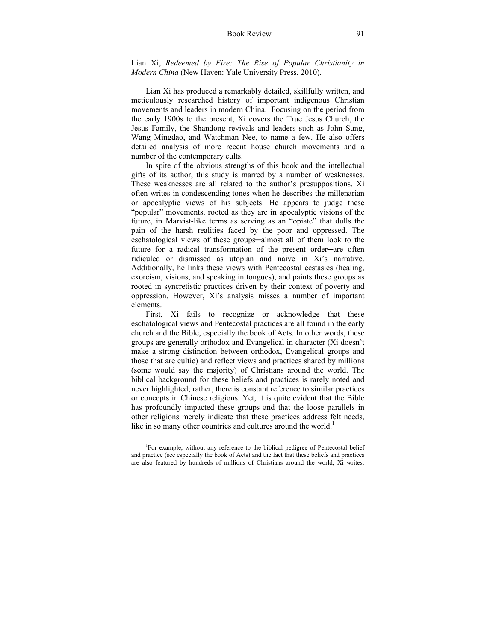Lian Xi, *Redeemed by Fire: The Rise of Popular Christianity in Modern China* (New Haven: Yale University Press, 2010).

Lian Xi has produced a remarkably detailed, skillfully written, and meticulously researched history of important indigenous Christian movements and leaders in modern China. Focusing on the period from the early 1900s to the present, Xi covers the True Jesus Church, the Jesus Family, the Shandong revivals and leaders such as John Sung, Wang Mingdao, and Watchman Nee, to name a few. He also offers detailed analysis of more recent house church movements and a number of the contemporary cults.

In spite of the obvious strengths of this book and the intellectual gifts of its author, this study is marred by a number of weaknesses. These weaknesses are all related to the author's presuppositions. Xi often writes in condescending tones when he describes the millenarian or apocalyptic views of his subjects. He appears to judge these "popular" movements, rooted as they are in apocalyptic visions of the future, in Marxist-like terms as serving as an "opiate" that dulls the pain of the harsh realities faced by the poor and oppressed. The eschatological views of these groups—almost all of them look to the future for a radical transformation of the present order—are often ridiculed or dismissed as utopian and naive in Xi's narrative. Additionally, he links these views with Pentecostal ecstasies (healing, exorcism, visions, and speaking in tongues), and paints these groups as rooted in syncretistic practices driven by their context of poverty and oppression. However, Xi's analysis misses a number of important elements.

First, Xi fails to recognize or acknowledge that these eschatological views and Pentecostal practices are all found in the early church and the Bible, especially the book of Acts. In other words, these groups are generally orthodox and Evangelical in character (Xi doesn't make a strong distinction between orthodox, Evangelical groups and those that are cultic) and reflect views and practices shared by millions (some would say the majority) of Christians around the world. The biblical background for these beliefs and practices is rarely noted and never highlighted; rather, there is constant reference to similar practices or concepts in Chinese religions. Yet, it is quite evident that the Bible has profoundly impacted these groups and that the loose parallels in other religions merely indicate that these practices address felt needs, like in so many other countries and cultures around the world.<sup>1</sup>

 $\frac{1}{1}$ <sup>1</sup>For example, without any reference to the biblical pedigree of Pentecostal belief and practice (see especially the book of Acts) and the fact that these beliefs and practices are also featured by hundreds of millions of Christians around the world, Xi writes: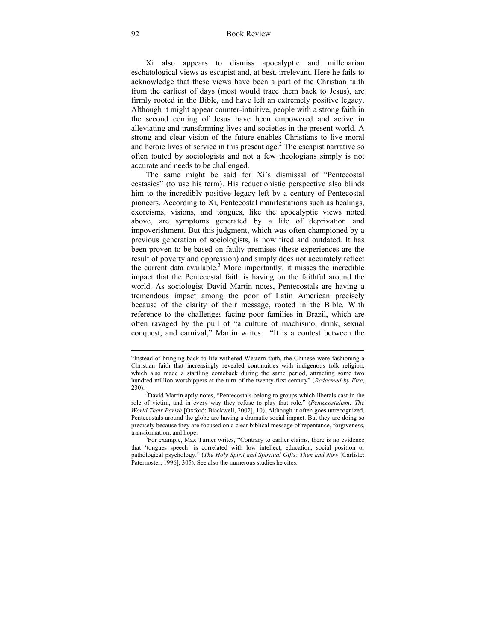Xi also appears to dismiss apocalyptic and millenarian eschatological views as escapist and, at best, irrelevant. Here he fails to acknowledge that these views have been a part of the Christian faith from the earliest of days (most would trace them back to Jesus), are firmly rooted in the Bible, and have left an extremely positive legacy. Although it might appear counter-intuitive, people with a strong faith in the second coming of Jesus have been empowered and active in alleviating and transforming lives and societies in the present world. A strong and clear vision of the future enables Christians to live moral and heroic lives of service in this present age. $<sup>2</sup>$  The escapist narrative so</sup> often touted by sociologists and not a few theologians simply is not accurate and needs to be challenged.

The same might be said for Xi's dismissal of "Pentecostal ecstasies" (to use his term). His reductionistic perspective also blinds him to the incredibly positive legacy left by a century of Pentecostal pioneers. According to Xi, Pentecostal manifestations such as healings, exorcisms, visions, and tongues, like the apocalyptic views noted above, are symptoms generated by a life of deprivation and impoverishment. But this judgment, which was often championed by a previous generation of sociologists, is now tired and outdated. It has been proven to be based on faulty premises (these experiences are the result of poverty and oppression) and simply does not accurately reflect the current data available.<sup>3</sup> More importantly, it misses the incredible impact that the Pentecostal faith is having on the faithful around the world. As sociologist David Martin notes, Pentecostals are having a tremendous impact among the poor of Latin American precisely because of the clarity of their message, rooted in the Bible. With reference to the challenges facing poor families in Brazil, which are often ravaged by the pull of "a culture of machismo, drink, sexual conquest, and carnival," Martin writes: "It is a contest between the

-

<sup>&</sup>quot;Instead of bringing back to life withered Western faith, the Chinese were fashioning a Christian faith that increasingly revealed continuities with indigenous folk religion, which also made a startling comeback during the same period, attracting some two hundred million worshippers at the turn of the twenty-first century" (*Redeemed by Fire*, 230). 2

David Martin aptly notes, "Pentecostals belong to groups which liberals cast in the role of victim, and in every way they refuse to play that role." (*Pentecostalism: The World Their Parish* [Oxford: Blackwell, 2002], 10). Although it often goes unrecognized, Pentecostals around the globe are having a dramatic social impact. But they are doing so precisely because they are focused on a clear biblical message of repentance, forgiveness, transformation, and hope. 3

<sup>&</sup>lt;sup>3</sup>For example, Max Turner writes, "Contrary to earlier claims, there is no evidence that 'tongues speech' is correlated with low intellect, education, social position or pathological psychology." (*The Holy Spirit and Spiritual Gifts: Then and Now* [Carlisle: Paternoster, 1996], 305). See also the numerous studies he cites.